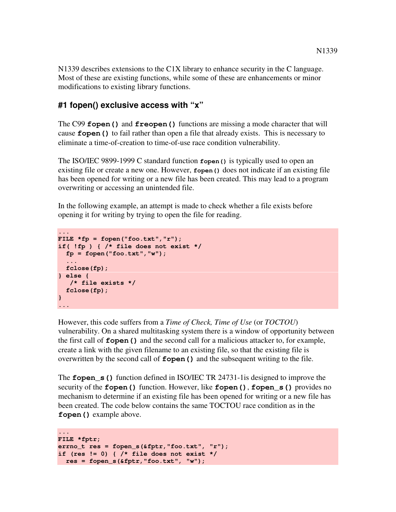N1339 describes extensions to the C1X library to enhance security in the C language. Most of these are existing functions, while some of these are enhancements or minor modifications to existing library functions.

### **#1 fopen() exclusive access with "x"**

The C99 **fopen()** and **freopen()** functions are missing a mode character that will cause **fopen()** to fail rather than open a file that already exists. This is necessary to eliminate a time-of-creation to time-of-use race condition vulnerability.

The ISO/IEC 9899-1999 C standard function **fopen()** is typically used to open an existing file or create a new one. However, **fopen()** does not indicate if an existing file has been opened for writing or a new file has been created. This may lead to a program overwriting or accessing an unintended file.

In the following example, an attempt is made to check whether a file exists before opening it for writing by trying to open the file for reading.

```
... 
FILE *fp = fopen("foo.txt","r"); 
if( !fp ) { /* file does not exist */ 
   fp = fopen("foo.txt","w"); 
    ... 
  fclose(fp); 
} else { 
    /* file exists */ 
   fclose(fp); 
} 
...
```
However, this code suffers from a *Time of Check, Time of Use* (or *TOCTOU*) vulnerability. On a shared multitasking system there is a window of opportunity between the first call of **fopen()** and the second call for a malicious attacker to, for example, create a link with the given filename to an existing file, so that the existing file is overwritten by the second call of **fopen()** and the subsequent writing to the file.

The **fopen\_s()** function defined in ISO/IEC TR 24731-1is designed to improve the security of the **fopen()** function. However, like **fopen()**, **fopen\_s()** provides no mechanism to determine if an existing file has been opened for writing or a new file has been created. The code below contains the same TOCTOU race condition as in the **fopen()** example above.

```
... 
FILE *fptr; 
errno_t res = fopen_s(&fptr,"foo.txt", "r"); 
if (res != 0) { /* file does not exist */ 
   res = fopen_s(&fptr,"foo.txt", "w");
```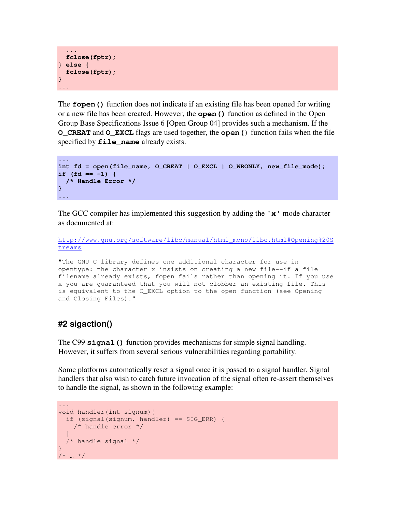```
 ... 
   fclose(fptr); 
} else { 
  fclose(fptr); 
} 
...
```
The **fopen()** function does not indicate if an existing file has been opened for writing or a new file has been created. However, the **open()** function as defined in the Open Group Base Specifications Issue 6 [Open Group 04] provides such a mechanism. If the **O\_CREAT** and **O\_EXCL** flags are used together, the **open(**) function fails when the file specified by **file\_name** already exists.

```
... 
int fd = open(file_name, O_CREAT | O_EXCL | O_WRONLY, new_file_mode); 
if (fd == -1) { 
   /* Handle Error */ 
} 
...
```
The GCC compiler has implemented this suggestion by adding the **'x'** mode character as documented at:

```
http://www.gnu.org/software/libc/manual/html_mono/libc.html#Opening%20S
treams
```
"The GNU C library defines one additional character for use in opentype: the character x insists on creating a new file--if a file filename already exists, fopen fails rather than opening it. If you use x you are guaranteed that you will not clobber an existing file. This is equivalent to the O\_EXCL option to the open function (see Opening and Closing Files)."

### **#2 sigaction()**

The C99 **signal()** function provides mechanisms for simple signal handling. However, it suffers from several serious vulnerabilities regarding portability.

Some platforms automatically reset a signal once it is passed to a signal handler. Signal handlers that also wish to catch future invocation of the signal often re-assert themselves to handle the signal, as shown in the following example:

```
... 
void handler(int signum){ 
   if (signal(signum, handler) == SIG_ERR) { 
     /* handle error */ 
 } 
   /* handle signal */ 
} 
/* ... */
```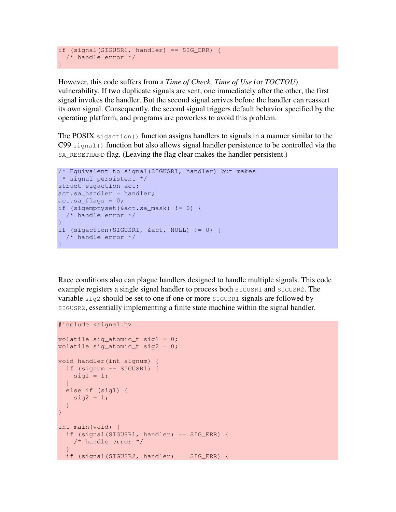```
if (signal(SIGUSR1, handler) == SIG_ERR) { 
  /* handle error */ 
}
```
However, this code suffers from a *Time of Check, Time of Use* (or *TOCTOU*) vulnerability. If two duplicate signals are sent, one immediately after the other, the first signal invokes the handler. But the second signal arrives before the handler can reassert its own signal. Consequently, the second signal triggers default behavior specified by the operating platform, and programs are powerless to avoid this problem.

The POSIX sigaction() function assigns handlers to signals in a manner similar to the C99 signal() function but also allows signal handler persistence to be controlled via the SA\_RESETHAND flag. (Leaving the flag clear makes the handler persistent.)

```
/* Equivalent to signal(SIGUSR1, handler) but makes
 * signal persistent */ 
struct sigaction act; 
act.sa handler = handler;
act.sa_{1}flags = 0;if (sigemptyset(&act.sa_mask) != 0) { 
  /* handle error */ 
} 
if (sigaction(SIGUSR1, &act, NULL) != 0) { 
  /* handle error */ 
}
```
Race conditions also can plague handlers designed to handle multiple signals. This code example registers a single signal handler to process both SIGUSR1 and SIGUSR2. The variable sig2 should be set to one if one or more SIGUSR1 signals are followed by SIGUSR2, essentially implementing a finite state machine within the signal handler.

```
#include <signal.h> 
volatile sig_atomic_t sig1 = 0; 
volatile sig_atomic_t sig2 = 0; 
void handler(int signum) { 
  if (signum == SIGUSR1) { 
   sig1 = 1; } 
  else if (sig1) { 
   sig2 = 1; } 
} 
int main(void) { 
  if (signal(SIGUSR1, handler) == SIG_ERR) { 
    /* handle error */ 
 } 
   if (signal(SIGUSR2, handler) == SIG_ERR) {
```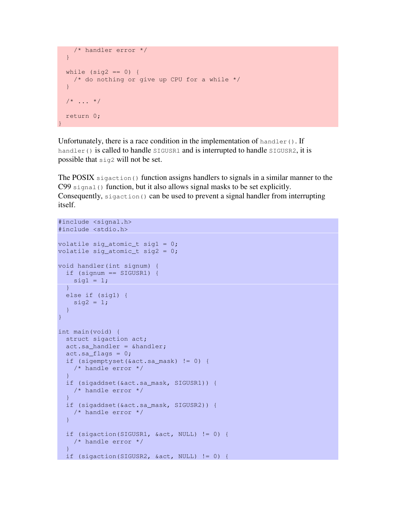```
 /* handler error */ 
  } 
 while (sig2 == 0) {
    /* do nothing or give up CPU for a while */ 
 } 
 /* \ldots */ return 0; 
}
```
Unfortunately, there is a race condition in the implementation of handler(). If handler() is called to handle  $SIGUSR1$  and is interrupted to handle  $SIGUSR2$ , it is possible that sig2 will not be set.

The POSIX sigaction() function assigns handlers to signals in a similar manner to the C99 signal() function, but it also allows signal masks to be set explicitly. Consequently,  $s$  igaction() can be used to prevent a signal handler from interrupting itself.

```
#include <signal.h> 
#include <stdio.h> 
volatile sig atomic t sig1 = 0;
volatile sig_atomic_t sig2 = 0; 
void handler(int signum) { 
  if (signum == SIGUSR1) { 
   sig1 = 1; } 
  else if (sig1) { 
   sig2 = 1; } 
} 
int main(void) { 
  struct sigaction act; 
 act.sa handler = \deltahandler;
 act.sa flags = 0;
   if (sigemptyset(&act.sa_mask) != 0) { 
    /* handle error */ 
   } 
   if (sigaddset(&act.sa_mask, SIGUSR1)) { 
    /* handle error */ 
   } 
   if (sigaddset(&act.sa_mask, SIGUSR2)) { 
     /* handle error */ 
   } 
   if (sigaction(SIGUSR1, &act, NULL) != 0) { 
    /* handle error */ 
   } 
   if (sigaction(SIGUSR2, &act, NULL) != 0) {
```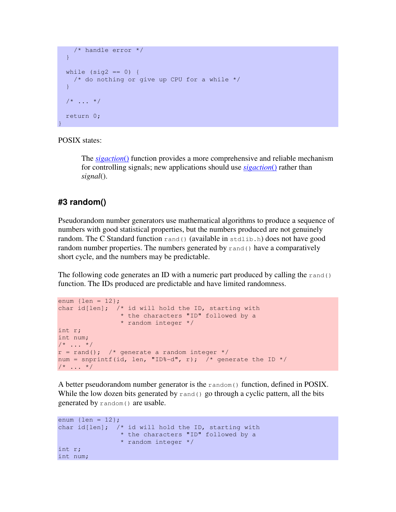```
 /* handle error */ 
  } 
 while (siq2 == 0) {
   /* do nothing or give up CPU for a while */ } 
 7* ... */ return 0; 
}
```
#### POSIX states:

The *sigaction*() function provides a more comprehensive and reliable mechanism for controlling signals; new applications should use *sigaction*() rather than *signal*().

#### **#3 random()**

Pseudorandom number generators use mathematical algorithms to produce a sequence of numbers with good statistical properties, but the numbers produced are not genuinely random. The C Standard function  $_{\text{rand}}($ ) (available in  $_{\text{stdlib},h}$ ) does not have good random number properties. The numbers generated by  $\text{rand}(t)$  have a comparatively short cycle, and the numbers may be predictable.

The following code generates an ID with a numeric part produced by calling the  $\text{rand}($ ) function. The IDs produced are predictable and have limited randomness.

```
enum \{len = 12\};
char id[len]; /* id will hold the ID, starting with
                 * the characters "ID" followed by a 
                * random integer */ 
int r; 
int num; 
/* ... */
r = rand(); /* generate a random integer */
num = snprintf(id, len, "ID%-d", r); /* generate the ID */
/* \ldots */
```
A better pseudorandom number generator is the  $r$  andom() function, defined in POSIX. While the low dozen bits generated by  $\text{rand}(x)$  go through a cyclic pattern, all the bits generated by random() are usable.

```
enum \{len = 12\};
char id[len]; /* id will hold the ID, starting with
                 * the characters "ID" followed by a 
                 * random integer */ 
int r; 
int num;
```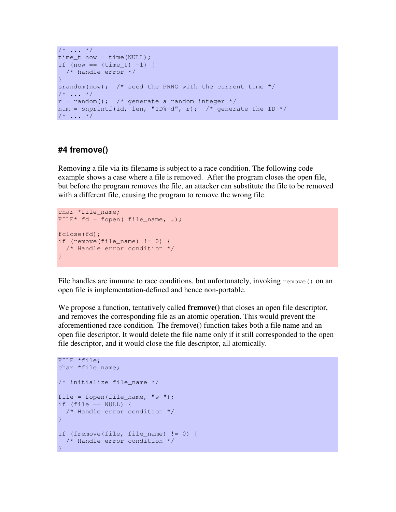```
/\star ... \star/time_t now = time(NULL); 
if (now == (time_t) -1) {
 /* handle error */ 
} 
srandom(now); /* seed the PRNG with the current time *//\star ... \star/r = \text{random}(); /* generate a random integer */
num = snprintf(id, len, "ID%-d", r); /* generate the ID */
/* \dots */
```
### **#4 fremove()**

Removing a file via its filename is subject to a race condition. The following code example shows a case where a file is removed. After the program closes the open file, but before the program removes the file, an attacker can substitute the file to be removed with a different file, causing the program to remove the wrong file.

```
char *file name;
FILE* fd = fopen( file_name, ...);
fclose(fd); 
if (remove(file_name) != 0) { 
   /* Handle error condition */ 
}
```
File handles are immune to race conditions, but unfortunately, invoking remove() on an open file is implementation-defined and hence non-portable.

We propose a function, tentatively called **fremove()** that closes an open file descriptor, and removes the corresponding file as an atomic operation. This would prevent the aforementioned race condition. The fremove() function takes both a file name and an open file descriptor. It would delete the file name only if it still corresponded to the open file descriptor, and it would close the file descriptor, all atomically.

```
FILE *file; 
char *file_name; 
/* initialize file name */file = fopen(file_name, "\text{w+}");
if (file == NULL) {
  /* Handle error condition */ 
} 
if (fremove(file, file_name) != 0) { 
  /* Handle error condition */ 
}
```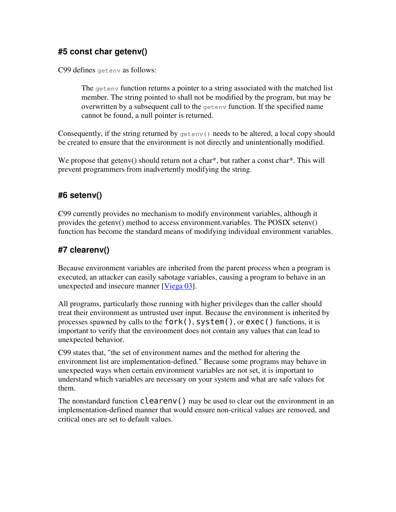## **#5 const char getenv()**

C99 defines getenv as follows:

The getenv function returns a pointer to a string associated with the matched list member. The string pointed to shall not be modified by the program, but may be overwritten by a subsequent call to the getenv function. If the specified name cannot be found, a null pointer is returned.

Consequently, if the string returned by  $qetenv()$  needs to be altered, a local copy should be created to ensure that the environment is not directly and unintentionally modified.

We propose that getenv() should return not a char<sup>\*</sup>, but rather a const char<sup>\*</sup>. This will prevent programmers from inadvertently modifying the string.

## **#6 setenv()**

C99 currently provides no mechanism to modify environment variables, although it provides the getenv() method to access environment.variables. The POSIX setenv() function has become the standard means of modifying individual environment variables.

# **#7 clearenv()**

Because environment variables are inherited from the parent process when a program is executed, an attacker can easily sabotage variables, causing a program to behave in an unexpected and insecure manner [Viega 03].

All programs, particularly those running with higher privileges than the caller should treat their environment as untrusted user input. Because the environment is inherited by processes spawned by calls to the fork(), system(), or exec() functions, it is important to verify that the environment does not contain any values that can lead to unexpected behavior.

C99 states that, "the set of environment names and the method for altering the environment list are implementation-defined." Because some programs may behave in unexpected ways when certain environment variables are not set, it is important to understand which variables are necessary on your system and what are safe values for them.

The nonstandard function  $\text{clearenv}()$  may be used to clear out the environment in an implementation-defined manner that would ensure non-critical values are removed, and critical ones are set to default values.